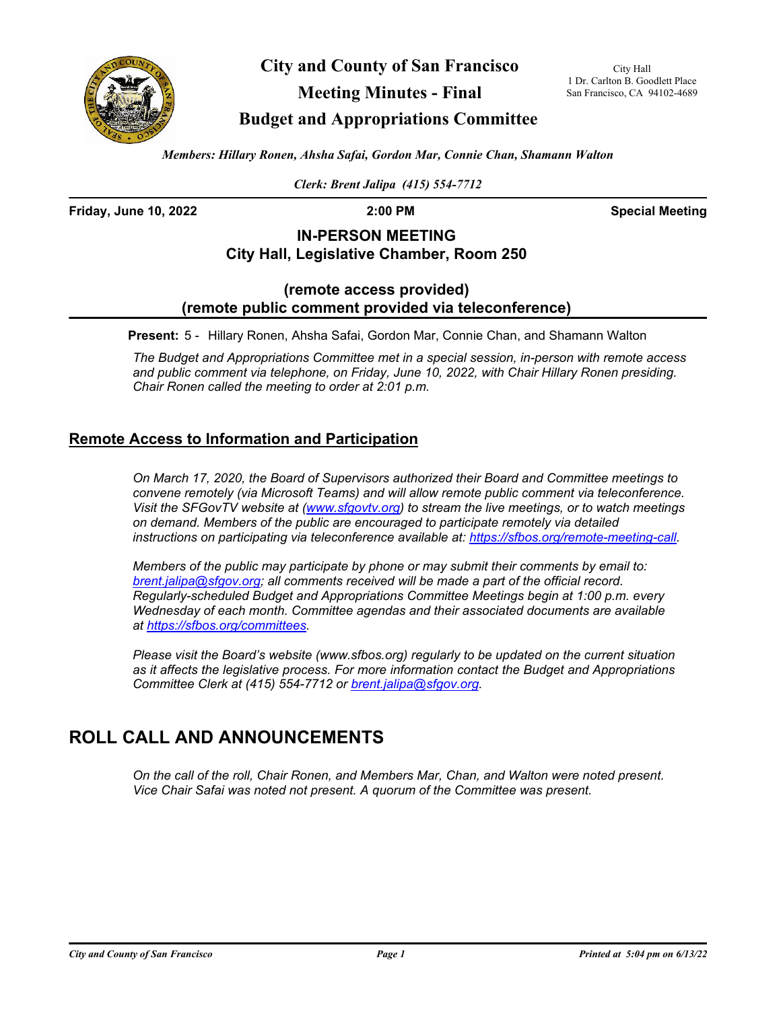

**City and County of San Francisco Meeting Minutes - Final**

City Hall 1 Dr. Carlton B. Goodlett Place San Francisco, CA 94102-4689

## **Budget and Appropriations Committee**

*Members: Hillary Ronen, Ahsha Safai, Gordon Mar, Connie Chan, Shamann Walton*

*Clerk: Brent Jalipa (415) 554-7712*

**Friday, June 10, 2022 2:00 PM Special Meeting**

### **IN-PERSON MEETING City Hall, Legislative Chamber, Room 250**

### **(remote access provided) (remote public comment provided via teleconference)**

**Present:** 5 - Hillary Ronen, Ahsha Safai, Gordon Mar, Connie Chan, and Shamann Walton

*The Budget and Appropriations Committee met in a special session, in-person with remote access and public comment via telephone, on Friday, June 10, 2022, with Chair Hillary Ronen presiding. Chair Ronen called the meeting to order at 2:01 p.m.*

### **Remote Access to Information and Participation**

*On March 17, 2020, the Board of Supervisors authorized their Board and Committee meetings to convene remotely (via Microsoft Teams) and will allow remote public comment via teleconference. Visit the SFGovTV website at [\(www.sfgovtv.org\)](www.sfgovtv.org) to stream the live meetings, or to watch meetings on demand. Members of the public are encouraged to participate remotely via detailed instructions on participating via teleconference available at: [https://sfbos.org/remote-meeting-call.](https://sfbos.org/remote-meeting-call)*

*Members of the public may participate by phone or may submit their comments by email to: [brent.jalipa@sfgov.org;](mailto:brent.jalipa@sfgov.org) all comments received will be made a part of the official record. Regularly-scheduled Budget and Appropriations Committee Meetings begin at 1:00 p.m. every Wednesday of each month. Committee agendas and their associated documents are available at [https://sfbos.org/committees.](https://sfbos.org/committees)*

*Please visit the Board's website (www.sfbos.org) regularly to be updated on the current situation as it affects the legislative process. For more information contact the Budget and Appropriations Committee Clerk at (415) 554-7712 or [brent.jalipa@sfgov.org.](mailto:brent.jalipa@sfgov.org)*

# **ROLL CALL AND ANNOUNCEMENTS**

*On the call of the roll, Chair Ronen, and Members Mar, Chan, and Walton were noted present. Vice Chair Safai was noted not present. A quorum of the Committee was present.*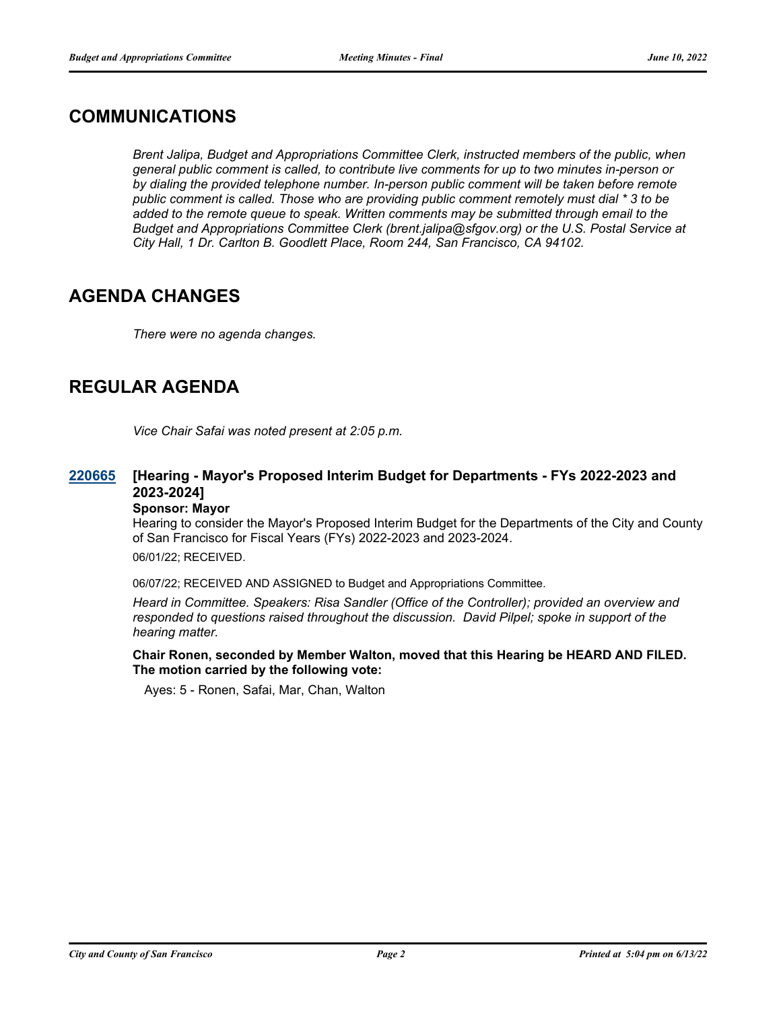### **COMMUNICATIONS**

*Brent Jalipa, Budget and Appropriations Committee Clerk, instructed members of the public, when general public comment is called, to contribute live comments for up to two minutes in-person or by dialing the provided telephone number. In-person public comment will be taken before remote public comment is called. Those who are providing public comment remotely must dial \* 3 to be added to the remote queue to speak. Written comments may be submitted through email to the Budget and Appropriations Committee Clerk (brent.jalipa@sfgov.org) or the U.S. Postal Service at City Hall, 1 Dr. Carlton B. Goodlett Place, Room 244, San Francisco, CA 94102.*

## **AGENDA CHANGES**

*There were no agenda changes.*

# **REGULAR AGENDA**

*Vice Chair Safai was noted present at 2:05 p.m.*

#### **[Hearing - Mayor's Proposed Interim Budget for Departments - FYs 2022-2023 and 2023-2024] [220665](http://sfgov.legistar.com/gateway.aspx?m=l&id=38857)**

#### **Sponsor: Mayor**

Hearing to consider the Mayor's Proposed Interim Budget for the Departments of the City and County of San Francisco for Fiscal Years (FYs) 2022-2023 and 2023-2024.

06/01/22; RECEIVED.

06/07/22; RECEIVED AND ASSIGNED to Budget and Appropriations Committee.

*Heard in Committee. Speakers: Risa Sandler (Office of the Controller); provided an overview and responded to questions raised throughout the discussion. David Pilpel; spoke in support of the hearing matter.*

### **Chair Ronen, seconded by Member Walton, moved that this Hearing be HEARD AND FILED. The motion carried by the following vote:**

Ayes: 5 - Ronen, Safai, Mar, Chan, Walton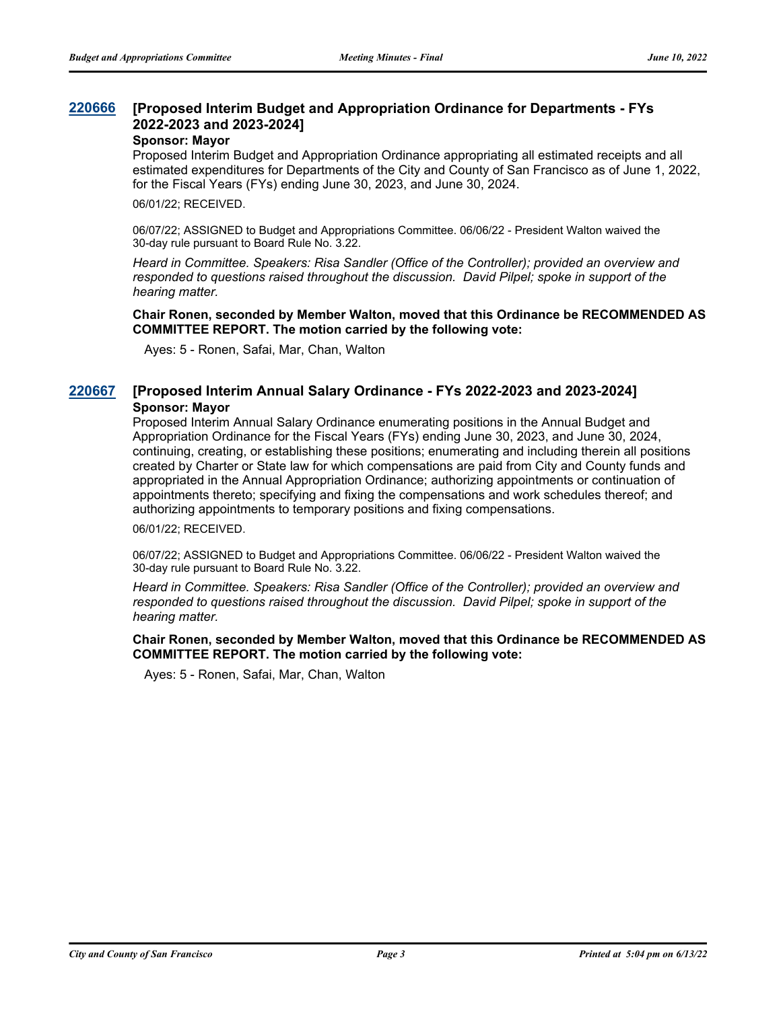#### **[Proposed Interim Budget and Appropriation Ordinance for Departments - FYs 2022-2023 and 2023-2024] [220666](http://sfgov.legistar.com/gateway.aspx?m=l&id=38858)**

#### **Sponsor: Mayor**

Proposed Interim Budget and Appropriation Ordinance appropriating all estimated receipts and all estimated expenditures for Departments of the City and County of San Francisco as of June 1, 2022, for the Fiscal Years (FYs) ending June 30, 2023, and June 30, 2024.

06/01/22; RECEIVED.

06/07/22; ASSIGNED to Budget and Appropriations Committee. 06/06/22 - President Walton waived the 30-day rule pursuant to Board Rule No. 3.22.

*Heard in Committee. Speakers: Risa Sandler (Office of the Controller); provided an overview and responded to questions raised throughout the discussion. David Pilpel; spoke in support of the hearing matter.*

**Chair Ronen, seconded by Member Walton, moved that this Ordinance be RECOMMENDED AS COMMITTEE REPORT. The motion carried by the following vote:**

Ayes: 5 - Ronen, Safai, Mar, Chan, Walton

### **[220667](http://sfgov.legistar.com/gateway.aspx?m=l&id=38859) [Proposed Interim Annual Salary Ordinance - FYs 2022-2023 and 2023-2024] Sponsor: Mayor**

Proposed Interim Annual Salary Ordinance enumerating positions in the Annual Budget and Appropriation Ordinance for the Fiscal Years (FYs) ending June 30, 2023, and June 30, 2024, continuing, creating, or establishing these positions; enumerating and including therein all positions created by Charter or State law for which compensations are paid from City and County funds and appropriated in the Annual Appropriation Ordinance; authorizing appointments or continuation of appointments thereto; specifying and fixing the compensations and work schedules thereof; and authorizing appointments to temporary positions and fixing compensations.

06/01/22; RECEIVED.

06/07/22; ASSIGNED to Budget and Appropriations Committee. 06/06/22 - President Walton waived the 30-day rule pursuant to Board Rule No. 3.22.

*Heard in Committee. Speakers: Risa Sandler (Office of the Controller); provided an overview and responded to questions raised throughout the discussion. David Pilpel; spoke in support of the hearing matter.*

### **Chair Ronen, seconded by Member Walton, moved that this Ordinance be RECOMMENDED AS COMMITTEE REPORT. The motion carried by the following vote:**

Ayes: 5 - Ronen, Safai, Mar, Chan, Walton